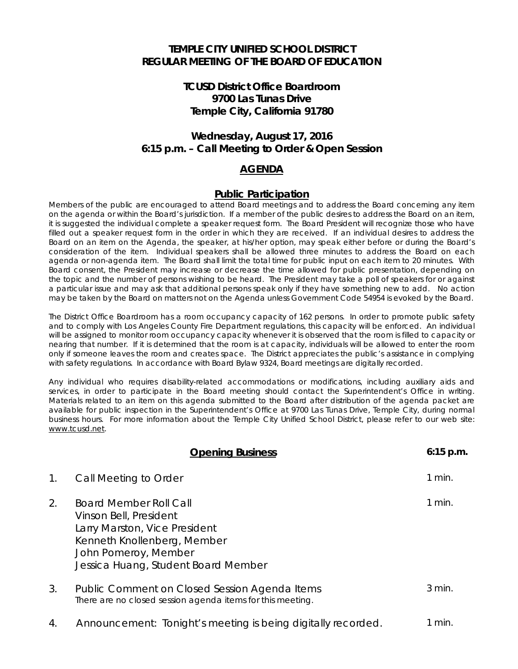#### **TEMPLE CITY UNIFIED SCHOOL DISTRICT REGULAR MEETING OF THE BOARD OF EDUCATION**

# **TCUSD District Office Boardroom 9700 Las Tunas Drive Temple City, California 91780**

# **Wednesday, August 17, 2016 6:15 p.m. – Call Meeting to Order & Open Session**

## **AGENDA**

#### **Public Participation**

Members of the public are encouraged to attend Board meetings and to address the Board concerning any item on the agenda or within the Board's jurisdiction. If a member of the public desires to address the Board on an item, it is suggested the individual complete a speaker request form. The Board President will recognize those who have filled out a speaker request form in the order in which they are received. If an individual desires to address the Board on an item on the Agenda, the speaker, at his/her option, may speak either before or during the Board's consideration of the item. Individual speakers shall be allowed three minutes to address the Board on each agenda or non-agenda item. The Board shall limit the total time for public input on each item to 20 minutes. With Board consent, the President may increase or decrease the time allowed for public presentation, depending on the topic and the number of persons wishing to be heard. The President may take a poll of speakers for or against a particular issue and may ask that additional persons speak only if they have something new to add. No action may be taken by the Board on matters not on the Agenda unless Government Code 54954 is evoked by the Board.

The District Office Boardroom has a room occupancy capacity of 162 persons. In order to promote public safety and to comply with Los Angeles County Fire Department regulations, this capacity will be enforced. An individual will be assigned to monitor room occupancy capacity whenever it is observed that the room is filled to capacity or nearing that number. If it is determined that the room is at capacity, individuals will be allowed to enter the room only if someone leaves the room and creates space. The District appreciates the public's assistance in complying with safety regulations. In accordance with Board Bylaw 9324, Board meetings are digitally recorded.

Any individual who requires disability-related accommodations or modifications, including auxiliary aids and services, in order to participate in the Board meeting should contact the Superintendent's Office in writing. Materials related to an item on this agenda submitted to the Board after distribution of the agenda packet are available for public inspection in the Superintendent's Office at 9700 Las Tunas Drive, Temple City, during normal business hours. For more information about the Temple City Unified School District, please refer to our web site: [www.tcusd.net.](http://www.tcusd.net/) 

|    | <b>Opening Business</b>                                                                                                                                                                | $6:15$ p.m. |
|----|----------------------------------------------------------------------------------------------------------------------------------------------------------------------------------------|-------------|
| 1. | Call Meeting to Order                                                                                                                                                                  | $1$ min.    |
| 2. | <b>Board Member Roll Call</b><br>Vinson Bell, President<br>Larry Marston, Vice President<br>Kenneth Knollenberg, Member<br>John Pomeroy, Member<br>Jessica Huang, Student Board Member | $1$ min.    |
| 3. | Public Comment on Closed Session Agenda Items<br>There are no closed session agenda items for this meeting.                                                                            | $3$ min.    |
| 4. | Announcement: Tonight's meeting is being digitally recorded.                                                                                                                           | 1 min.      |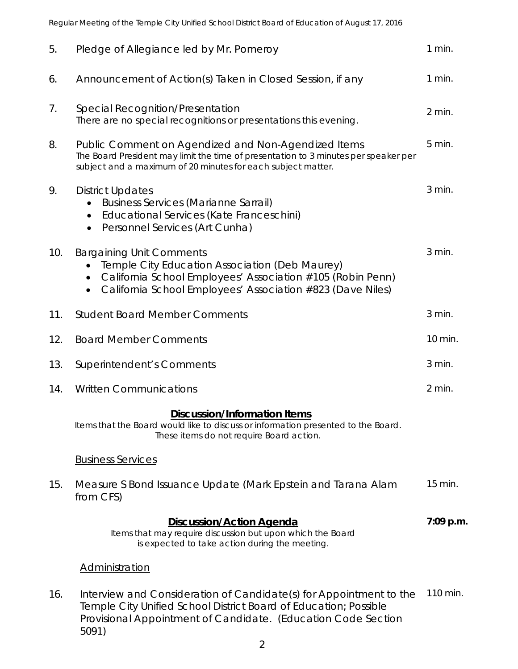Regular Meeting of the Temple City Unified School District Board of Education of August 17, 2016

| 5.  | Pledge of Allegiance led by Mr. Pomeroy                                                                                                                                                                       | 1 min.    |
|-----|---------------------------------------------------------------------------------------------------------------------------------------------------------------------------------------------------------------|-----------|
| 6.  | Announcement of Action(s) Taken in Closed Session, if any                                                                                                                                                     | $1$ min.  |
| 7.  | Special Recognition/Presentation<br>There are no special recognitions or presentations this evening.                                                                                                          | 2 min.    |
| 8.  | Public Comment on Agendized and Non-Agendized Items<br>The Board President may limit the time of presentation to 3 minutes per speaker per<br>subject and a maximum of 20 minutes for each subject matter.    |           |
| 9.  | <b>District Updates</b><br><b>Business Services (Marianne Sarrail)</b><br>Educational Services (Kate Franceschini)<br>$\bullet$<br>Personnel Services (Art Cunha)<br>$\bullet$                                |           |
| 10. | <b>Bargaining Unit Comments</b><br>Temple City Education Association (Deb Maurey)<br>California School Employees' Association #105 (Robin Penn)<br>California School Employees' Association #823 (Dave Niles) | 3 min.    |
| 11. | <b>Student Board Member Comments</b>                                                                                                                                                                          | 3 min.    |
| 12. | <b>Board Member Comments</b>                                                                                                                                                                                  | 10 min.   |
| 13. | Superintendent's Comments                                                                                                                                                                                     | 3 min.    |
| 14. | <b>Written Communications</b>                                                                                                                                                                                 | 2 min.    |
|     | <b>Discussion/Information Items</b><br>Items that the Board would like to discuss or information presented to the Board.<br>These items do not require Board action.                                          |           |
|     | <b>Business Services</b>                                                                                                                                                                                      |           |
| 15. | Measure S Bond Issuance Update (Mark Epstein and Tarana Alam<br>from CFS)                                                                                                                                     | 15 min.   |
|     | <b>Discussion/Action Agenda</b><br>Items that may require discussion but upon which the Board<br>is expected to take action during the meeting.                                                               | 7:09 p.m. |
|     | <b>Administration</b>                                                                                                                                                                                         |           |
| 16. | Interview and Consideration of Candidate(s) for Appointment to the<br>Temple City Unified School District Board of Education; Possible<br>Provisional Appointment of Candidate. (Education Code Section       | 110 min.  |

5091)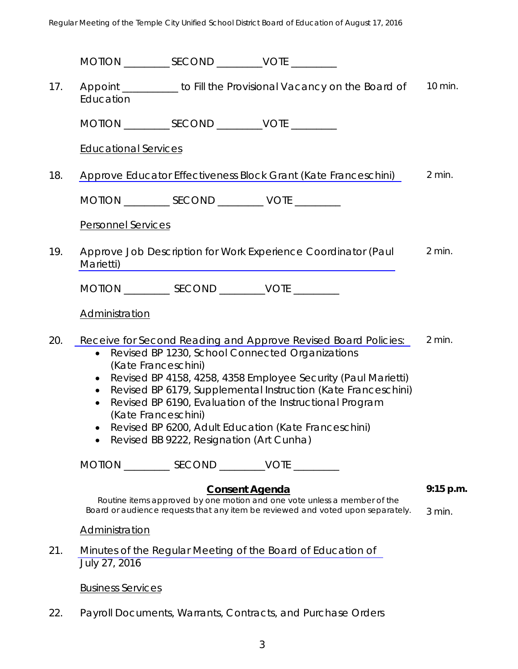Regular Meeting of the Temple City Unified School District Board of Education of August 17, 2016

|     | MOTION ______________ SECOND _____________ VOTE ___________                                                                                                                                                                                                                                                                                                                                                                                                                                                                       |                       |                                                                          |             |
|-----|-----------------------------------------------------------------------------------------------------------------------------------------------------------------------------------------------------------------------------------------------------------------------------------------------------------------------------------------------------------------------------------------------------------------------------------------------------------------------------------------------------------------------------------|-----------------------|--------------------------------------------------------------------------|-------------|
| 17. | Education                                                                                                                                                                                                                                                                                                                                                                                                                                                                                                                         |                       | Appoint __________ to Fill the Provisional Vacancy on the Board of       | 10 min.     |
|     |                                                                                                                                                                                                                                                                                                                                                                                                                                                                                                                                   |                       |                                                                          |             |
|     | <b>Educational Services</b>                                                                                                                                                                                                                                                                                                                                                                                                                                                                                                       |                       |                                                                          |             |
| 18. | $2$ min.<br>Approve Educator Effectiveness Block Grant (Kate Franceschini)                                                                                                                                                                                                                                                                                                                                                                                                                                                        |                       |                                                                          |             |
|     | MOTION ____________ SECOND ____________ VOTE _________                                                                                                                                                                                                                                                                                                                                                                                                                                                                            |                       |                                                                          |             |
|     | Personnel Services                                                                                                                                                                                                                                                                                                                                                                                                                                                                                                                |                       |                                                                          |             |
| 19. | Marietti)                                                                                                                                                                                                                                                                                                                                                                                                                                                                                                                         |                       | Approve Job Description for Work Experience Coordinator (Paul            | $2$ min.    |
|     | MOTION ____________ SECOND ___________VOTE _________                                                                                                                                                                                                                                                                                                                                                                                                                                                                              |                       |                                                                          |             |
|     | Administration                                                                                                                                                                                                                                                                                                                                                                                                                                                                                                                    |                       |                                                                          |             |
| 20. | $2$ min.<br>Receive for Second Reading and Approve Revised Board Policies:<br>Revised BP 1230, School Connected Organizations<br>$\bullet$<br>(Kate Franceschini)<br>Revised BP 4158, 4258, 4358 Employee Security (Paul Marietti)<br>$\bullet$<br>Revised BP 6179, Supplemental Instruction (Kate Franceschini)<br>$\bullet$<br>Revised BP 6190, Evaluation of the Instructional Program<br>$\bullet$<br>(Kate Franceschini)<br>Revised BP 6200, Adult Education (Kate Franceschini)<br>Revised BB 9222, Resignation (Art Cunha) |                       |                                                                          |             |
|     | MOTION _____________ SECOND ____________VOTE __________                                                                                                                                                                                                                                                                                                                                                                                                                                                                           |                       |                                                                          |             |
|     |                                                                                                                                                                                                                                                                                                                                                                                                                                                                                                                                   | <b>Consent Agenda</b> | Routine items approved by one motion and one vote unless a member of the | $9:15$ p.m. |
|     | Board or audience requests that any item be reviewed and voted upon separately.                                                                                                                                                                                                                                                                                                                                                                                                                                                   |                       | $3$ min.                                                                 |             |
| 21. | <b>Administration</b><br>July 27, 2016                                                                                                                                                                                                                                                                                                                                                                                                                                                                                            |                       | Minutes of the Regular Meeting of the Board of Education of              |             |
|     | <b>Business Services</b>                                                                                                                                                                                                                                                                                                                                                                                                                                                                                                          |                       |                                                                          |             |
| 22. |                                                                                                                                                                                                                                                                                                                                                                                                                                                                                                                                   |                       | Payroll Documents, Warrants, Contracts, and Purchase Orders              |             |